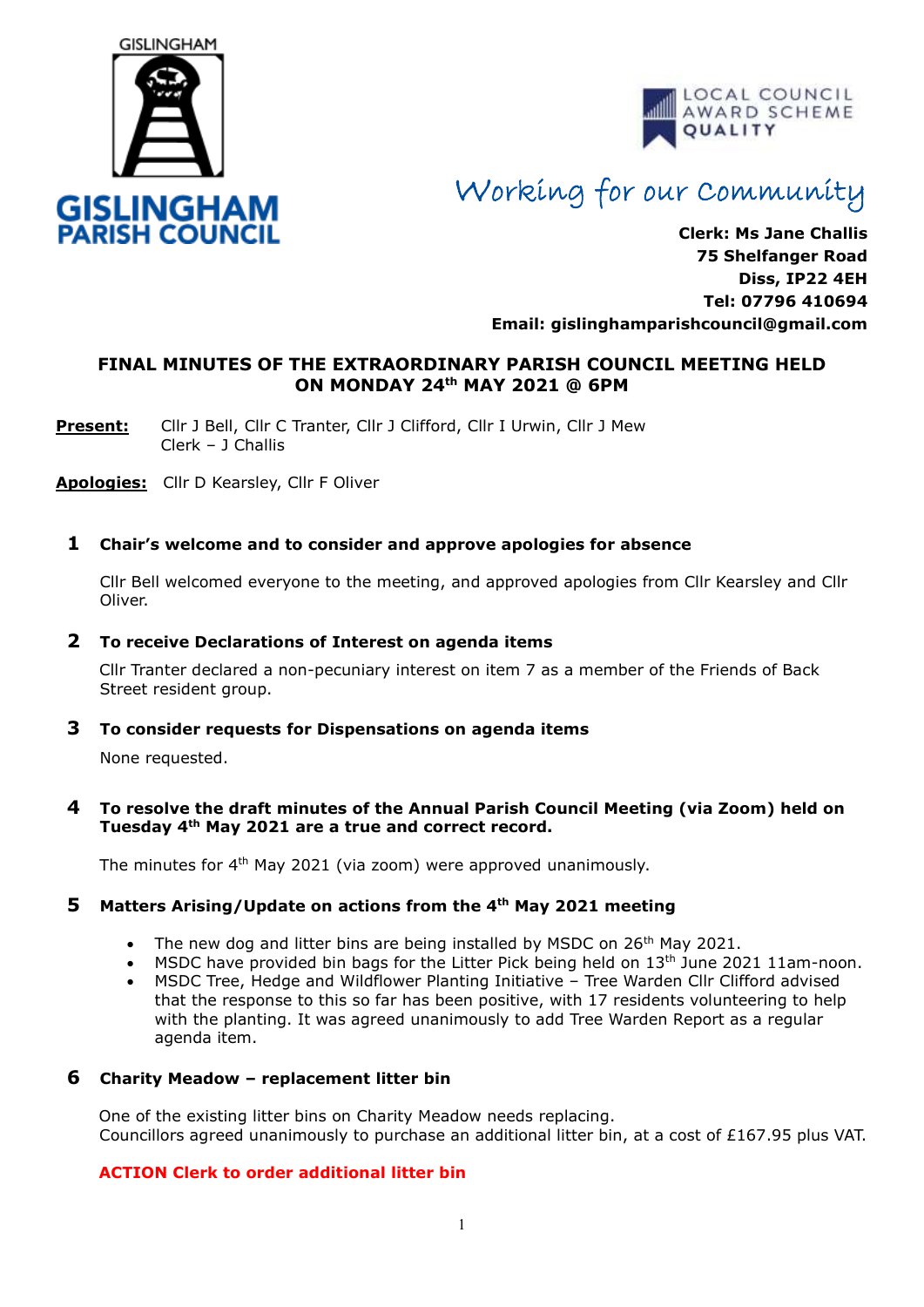



# Working for our Community

**Clerk: Ms Jane Challis 75 Shelfanger Road Diss, IP22 4EH Tel: 07796 410694 Email: [gislinghamparishcouncil@gmail.com](mailto:gislinghamparishcouncil@gmail.com)**

## **FINAL MINUTES OF THE EXTRAORDINARY PARISH COUNCIL MEETING HELD ON MONDAY 24th MAY 2021 @ 6PM**

**Present:** Cllr J Bell, Cllr C Tranter, Cllr J Clifford, Cllr I Urwin, Cllr J Mew Clerk – J Challis

**Apologies:** Cllr D Kearsley, Cllr F Oliver

## **1 Chair's welcome and to consider and approve apologies for absence**

Cllr Bell welcomed everyone to the meeting, and approved apologies from Cllr Kearsley and Cllr Oliver.

#### **2 To receive Declarations of Interest on agenda items**

 Cllr Tranter declared a non-pecuniary interest on item 7 as a member of the Friends of Back Street resident group.

#### **3 To consider requests for Dispensations on agenda items**

None requested.

#### **4 To resolve the draft minutes of the Annual Parish Council Meeting (via Zoom) held on Tuesday 4th May 2021 are a true and correct record.**

The minutes for 4<sup>th</sup> May 2021 (via zoom) were approved unanimously.

#### **5 Matters Arising/Update on actions from the 4th May 2021 meeting**

- The new dog and litter bins are being installed by MSDC on 26<sup>th</sup> May 2021.
- MSDC have provided bin bags for the Litter Pick being held on  $13<sup>th</sup>$  June 2021 11am-noon.
- MSDC Tree, Hedge and Wildflower Planting Initiative Tree Warden Cllr Clifford advised that the response to this so far has been positive, with 17 residents volunteering to help with the planting. It was agreed unanimously to add Tree Warden Report as a regular agenda item.

#### **6 Charity Meadow – replacement litter bin**

One of the existing litter bins on Charity Meadow needs replacing. Councillors agreed unanimously to purchase an additional litter bin, at a cost of £167.95 plus VAT.

#### **ACTION Clerk to order additional litter bin**